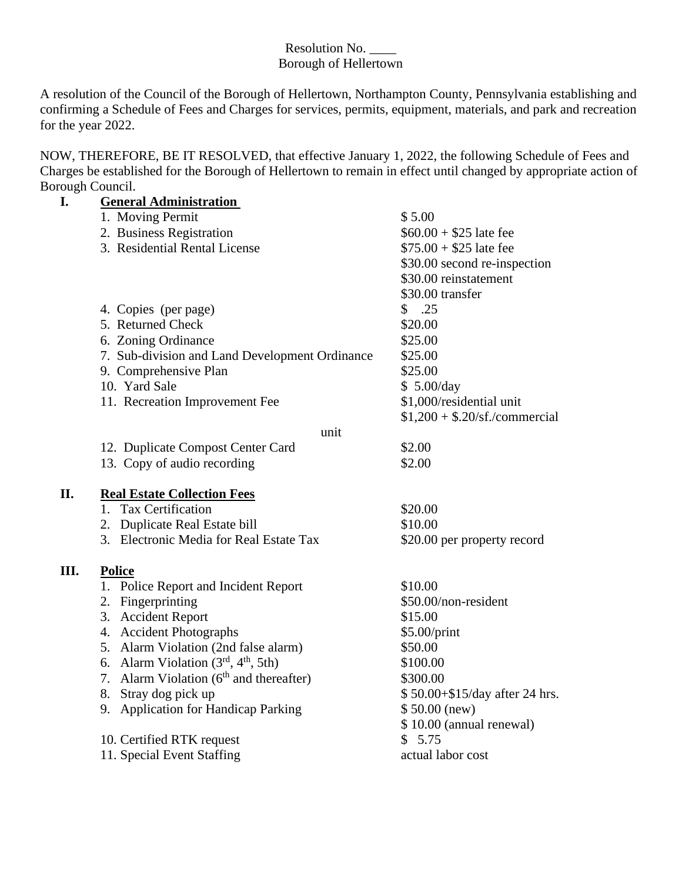#### Resolution No. \_\_\_\_ Borough of Hellertown

A resolution of the Council of the Borough of Hellertown, Northampton County, Pennsylvania establishing and confirming a Schedule of Fees and Charges for services, permits, equipment, materials, and park and recreation for the year 2022.

NOW, THEREFORE, BE IT RESOLVED, that effective January 1, 2022, the following Schedule of Fees and Charges be established for the Borough of Hellertown to remain in effect until changed by appropriate action of Borough Council.

| 1. Moving Permit<br>\$5.00<br>$$60.00 + $25$ late fee<br>2. Business Registration<br>3. Residential Rental License<br>$$75.00 + $25$ late fee<br>\$30.00 second re-inspection<br>\$30.00 reinstatement<br>\$30.00 transfer<br>\$.25<br>4. Copies (per page)<br>5. Returned Check<br>\$20.00<br>6. Zoning Ordinance<br>\$25.00<br>7. Sub-division and Land Development Ordinance<br>\$25.00<br>9. Comprehensive Plan<br>\$25.00<br>10. Yard Sale<br>\$5.00/day<br>11. Recreation Improvement Fee<br>\$1,000/residential unit<br>$$1,200 + $.20/sf./commercial$<br>unit<br>\$2.00<br>12. Duplicate Compost Center Card | <b>General Administration</b> |                          |
|----------------------------------------------------------------------------------------------------------------------------------------------------------------------------------------------------------------------------------------------------------------------------------------------------------------------------------------------------------------------------------------------------------------------------------------------------------------------------------------------------------------------------------------------------------------------------------------------------------------------|-------------------------------|--------------------------|
|                                                                                                                                                                                                                                                                                                                                                                                                                                                                                                                                                                                                                      |                               |                          |
|                                                                                                                                                                                                                                                                                                                                                                                                                                                                                                                                                                                                                      |                               |                          |
|                                                                                                                                                                                                                                                                                                                                                                                                                                                                                                                                                                                                                      |                               |                          |
|                                                                                                                                                                                                                                                                                                                                                                                                                                                                                                                                                                                                                      |                               |                          |
|                                                                                                                                                                                                                                                                                                                                                                                                                                                                                                                                                                                                                      |                               |                          |
|                                                                                                                                                                                                                                                                                                                                                                                                                                                                                                                                                                                                                      |                               |                          |
|                                                                                                                                                                                                                                                                                                                                                                                                                                                                                                                                                                                                                      |                               |                          |
|                                                                                                                                                                                                                                                                                                                                                                                                                                                                                                                                                                                                                      |                               |                          |
|                                                                                                                                                                                                                                                                                                                                                                                                                                                                                                                                                                                                                      |                               |                          |
|                                                                                                                                                                                                                                                                                                                                                                                                                                                                                                                                                                                                                      |                               |                          |
|                                                                                                                                                                                                                                                                                                                                                                                                                                                                                                                                                                                                                      |                               |                          |
|                                                                                                                                                                                                                                                                                                                                                                                                                                                                                                                                                                                                                      |                               |                          |
|                                                                                                                                                                                                                                                                                                                                                                                                                                                                                                                                                                                                                      |                               |                          |
|                                                                                                                                                                                                                                                                                                                                                                                                                                                                                                                                                                                                                      |                               |                          |
|                                                                                                                                                                                                                                                                                                                                                                                                                                                                                                                                                                                                                      |                               |                          |
|                                                                                                                                                                                                                                                                                                                                                                                                                                                                                                                                                                                                                      |                               |                          |
|                                                                                                                                                                                                                                                                                                                                                                                                                                                                                                                                                                                                                      | 13. Copy of audio recording   | \$2.00                   |
|                                                                                                                                                                                                                                                                                                                                                                                                                                                                                                                                                                                                                      |                               |                          |
| II.<br><b>Real Estate Collection Fees</b>                                                                                                                                                                                                                                                                                                                                                                                                                                                                                                                                                                            |                               |                          |
| 1. Tax Certification<br>\$20.00                                                                                                                                                                                                                                                                                                                                                                                                                                                                                                                                                                                      |                               |                          |
| \$10.00<br>2. Duplicate Real Estate bill                                                                                                                                                                                                                                                                                                                                                                                                                                                                                                                                                                             |                               |                          |
| 3. Electronic Media for Real Estate Tax<br>\$20.00 per property record                                                                                                                                                                                                                                                                                                                                                                                                                                                                                                                                               |                               |                          |
|                                                                                                                                                                                                                                                                                                                                                                                                                                                                                                                                                                                                                      |                               |                          |
| Ш.<br><b>Police</b>                                                                                                                                                                                                                                                                                                                                                                                                                                                                                                                                                                                                  |                               |                          |
| 1. Police Report and Incident Report<br>\$10.00                                                                                                                                                                                                                                                                                                                                                                                                                                                                                                                                                                      |                               |                          |
| 2. Fingerprinting<br>\$50.00/non-resident                                                                                                                                                                                                                                                                                                                                                                                                                                                                                                                                                                            |                               |                          |
| 3. Accident Report<br>\$15.00                                                                                                                                                                                                                                                                                                                                                                                                                                                                                                                                                                                        |                               |                          |
| 4. Accident Photographs<br>\$5.00/print                                                                                                                                                                                                                                                                                                                                                                                                                                                                                                                                                                              |                               |                          |
| 5. Alarm Violation (2nd false alarm)<br>\$50.00                                                                                                                                                                                                                                                                                                                                                                                                                                                                                                                                                                      |                               |                          |
| 6. Alarm Violation $(3rd, 4th, 5th)$<br>\$100.00                                                                                                                                                                                                                                                                                                                                                                                                                                                                                                                                                                     |                               |                          |
| 7. Alarm Violation $(6th$ and thereafter)<br>\$300.00                                                                                                                                                                                                                                                                                                                                                                                                                                                                                                                                                                |                               |                          |
| 8. Stray dog pick up<br>\$50.00+\$15/day after 24 hrs.                                                                                                                                                                                                                                                                                                                                                                                                                                                                                                                                                               |                               |                          |
| 9. Application for Handicap Parking<br>$$50.00$ (new)                                                                                                                                                                                                                                                                                                                                                                                                                                                                                                                                                                |                               |                          |
|                                                                                                                                                                                                                                                                                                                                                                                                                                                                                                                                                                                                                      |                               |                          |
| \$5.75                                                                                                                                                                                                                                                                                                                                                                                                                                                                                                                                                                                                               |                               |                          |
| 11. Special Event Staffing<br>actual labor cost                                                                                                                                                                                                                                                                                                                                                                                                                                                                                                                                                                      | 10. Certified RTK request     | \$10.00 (annual renewal) |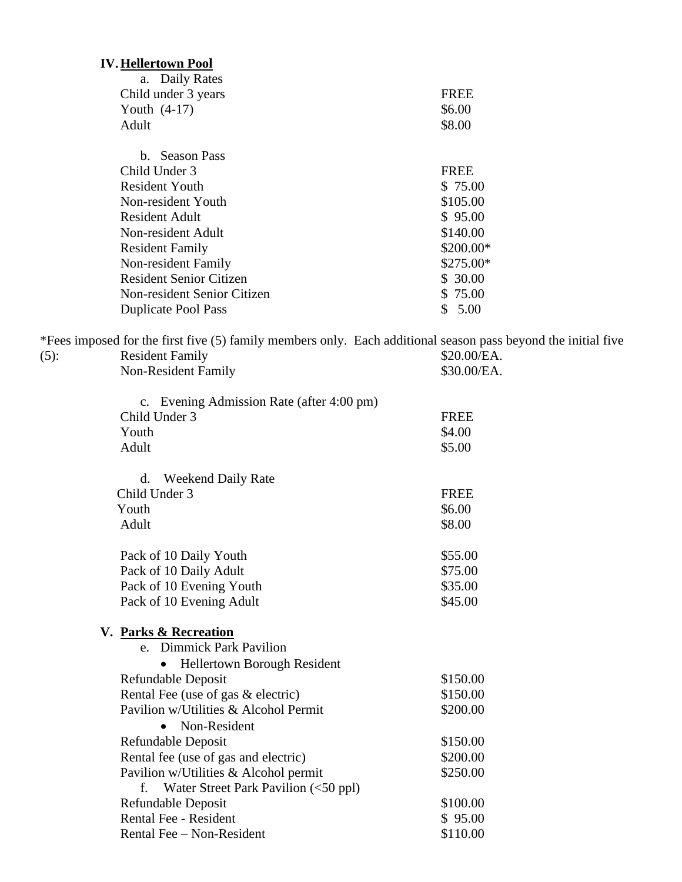# **IV.Hellertown Pool**

| a. Daily Rates                 |             |
|--------------------------------|-------------|
| Child under 3 years            | <b>FREE</b> |
| Youth $(4-17)$                 | \$6.00      |
| Adult                          | \$8.00      |
| b. Season Pass                 |             |
| Child Under 3                  | <b>FREE</b> |
| <b>Resident Youth</b>          | \$75.00     |
| Non-resident Youth             | \$105.00    |
| <b>Resident Adult</b>          | \$95.00     |
| Non-resident Adult             | \$140.00    |
| <b>Resident Family</b>         | \$200.00*   |
| Non-resident Family            | \$275.00*   |
| <b>Resident Senior Citizen</b> | \$30.00     |
| Non-resident Senior Citizen    | \$ 75.00    |
| <b>Duplicate Pool Pass</b>     | S<br>5.00   |

\*Fees imposed for the first five (5) family members only. Each additional season pass beyond the initial five (5): Resident Family \$20.00/EA. Resident Family \$30.00/EA.<br>Non-Resident Family \$30.00/EA.

| c. Evening Admission Rate (after 4:00 pm)<br>Child Under 3 | <b>FREE</b> |
|------------------------------------------------------------|-------------|
| Youth                                                      | \$4.00      |
| Adult                                                      | \$5.00      |
|                                                            |             |
| <b>Weekend Daily Rate</b><br>d.                            |             |
| Child Under 3                                              | <b>FREE</b> |
| Youth                                                      | \$6.00      |
| Adult                                                      | \$8.00      |
| Pack of 10 Daily Youth                                     | \$55.00     |
| Pack of 10 Daily Adult                                     | \$75.00     |
| Pack of 10 Evening Youth                                   | \$35.00     |
| Pack of 10 Evening Adult                                   | \$45.00     |
| V. Parks & Recreation                                      |             |
| e. Dimmick Park Pavilion                                   |             |
| Hellertown Borough Resident                                |             |
| Refundable Deposit                                         | \$150.00    |
| Rental Fee (use of gas & electric)                         | \$150.00    |
| Pavilion w/Utilities & Alcohol Permit                      | \$200.00    |
| Non-Resident                                               |             |
| Refundable Deposit                                         | \$150.00    |
| Rental fee (use of gas and electric)                       | \$200.00    |
| Pavilion w/Utilities & Alcohol permit                      | \$250.00    |
| Water Street Park Pavilion (<50 ppl)<br>f.                 |             |
| Refundable Deposit                                         | \$100.00    |
| <b>Rental Fee - Resident</b>                               | \$95.00     |
| Rental Fee - Non-Resident                                  | \$110.00    |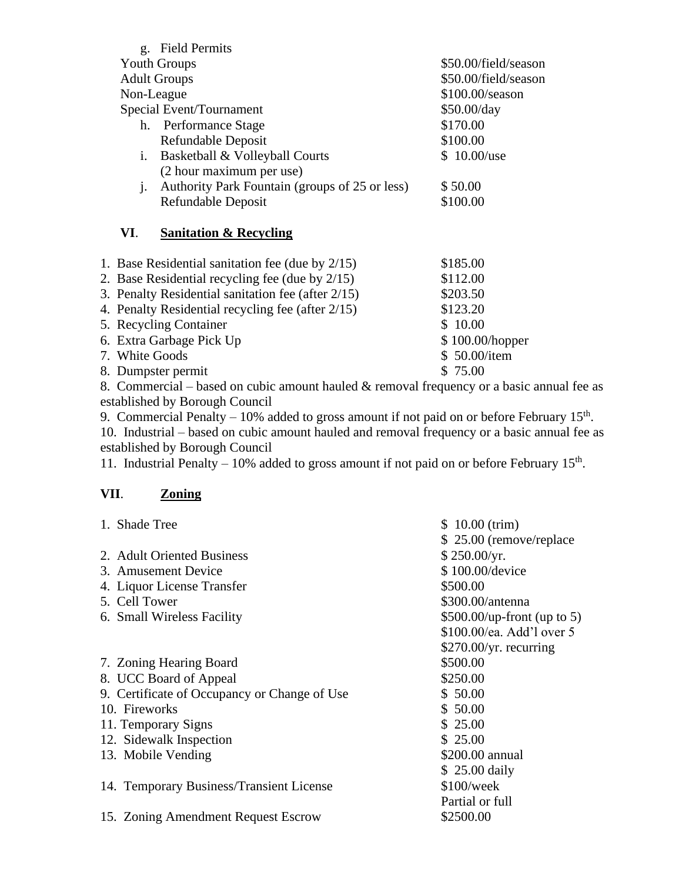|                     |                                                    | g. Field Permits                                    |                      |
|---------------------|----------------------------------------------------|-----------------------------------------------------|----------------------|
| <b>Youth Groups</b> |                                                    |                                                     | \$50.00/field/season |
|                     | <b>Adult Groups</b>                                |                                                     | \$50.00/field/season |
|                     | Non-League                                         |                                                     | \$100.00/season      |
|                     |                                                    | Special Event/Tournament                            | \$50.00/day          |
|                     |                                                    | h. Performance Stage                                | \$170.00             |
|                     |                                                    | Refundable Deposit                                  | \$100.00             |
|                     | i.                                                 | Basketball & Volleyball Courts                      | \$10.00/use          |
|                     |                                                    | (2 hour maximum per use)                            |                      |
|                     | $\mathbf{i}$ .                                     | Authority Park Fountain (groups of 25 or less)      | \$50.00              |
|                     |                                                    | Refundable Deposit                                  | \$100.00             |
|                     | VI.                                                | <b>Sanitation &amp; Recycling</b>                   |                      |
|                     |                                                    | 1. Base Residential sanitation fee (due by $2/15$ ) | \$185.00             |
|                     | 2. Base Residential recycling fee (due by 2/15)    |                                                     | \$112.00             |
|                     | 3. Penalty Residential sanitation fee (after 2/15) |                                                     | \$203.50             |
|                     | 4. Penalty Residential recycling fee (after 2/15)  |                                                     | \$123.20             |
|                     | 5. Recycling Container                             |                                                     | \$10.00              |
|                     | 6. Extra Garbage Pick Up                           |                                                     | \$100.00/hopper      |
|                     | 7. White Goods                                     |                                                     | \$50.00/item         |

8. Dumpster permit  $$ 75.00$ 

8. Commercial – based on cubic amount hauled & removal frequency or a basic annual fee as established by Borough Council

9. Commercial Penalty  $-10\%$  added to gross amount if not paid on or before February 15<sup>th</sup>.

10. Industrial – based on cubic amount hauled and removal frequency or a basic annual fee as established by Borough Council

11. Industrial Penalty – 10% added to gross amount if not paid on or before February  $15<sup>th</sup>$ .

## **VII**. **Zoning**

| 1. Shade Tree                                | \$10.00 (trim)                      |
|----------------------------------------------|-------------------------------------|
|                                              | \$25.00 (remove/replace)            |
| 2. Adult Oriented Business                   | \$250.00/yr.                        |
| 3. Amusement Device                          | \$100.00/device                     |
| 4. Liquor License Transfer                   | \$500.00                            |
| 5. Cell Tower                                | \$300.00/antenna                    |
| 6. Small Wireless Facility                   | $$500.00/\text{up-front}$ (up to 5) |
|                                              | \$100.00/ea. Add'l over 5           |
|                                              | \$270.00/yr. recurring              |
| 7. Zoning Hearing Board                      | \$500.00                            |
| 8. UCC Board of Appeal                       | \$250.00                            |
| 9. Certificate of Occupancy or Change of Use | \$50.00                             |
| 10. Fireworks                                | \$50.00                             |
| 11. Temporary Signs                          | \$25.00                             |
| 12. Sidewalk Inspection                      | \$25.00                             |
| 13. Mobile Vending                           | \$200.00 annual                     |
|                                              | $$25.00$ daily                      |
| 14. Temporary Business/Transient License     | \$100/week                          |
|                                              | Partial or full                     |
| 15. Zoning Amendment Request Escrow          | \$2500.00                           |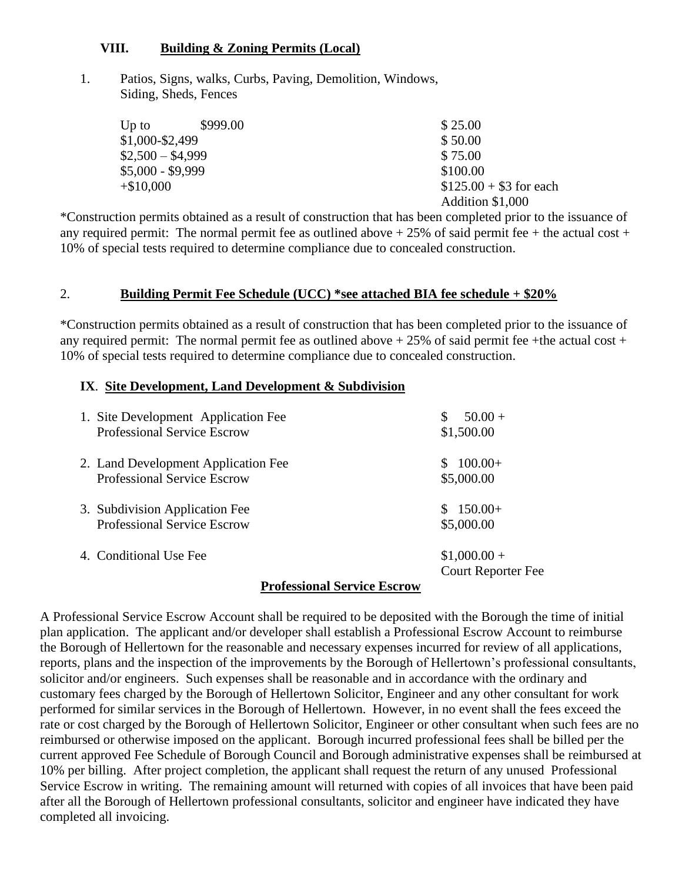### **VIII. Building & Zoning Permits (Local)**

1. Patios, Signs, walks, Curbs, Paving, Demolition, Windows, Siding, Sheds, Fences

| $Up$ to           | \$999.00 | \$25.00                 |
|-------------------|----------|-------------------------|
| \$1,000-\$2,499   |          | \$50.00                 |
| $$2,500 - $4,999$ |          | \$75.00                 |
| $$5,000 - $9,999$ |          | \$100.00                |
| $+\$10,000$       |          | $$125.00 + $3$ for each |
|                   |          | Addition \$1,000        |

\*Construction permits obtained as a result of construction that has been completed prior to the issuance of any required permit: The normal permit fee as outlined above  $+ 25\%$  of said permit fee  $+$  the actual cost  $+$ 10% of special tests required to determine compliance due to concealed construction.

### 2. **Building Permit Fee Schedule (UCC) \*see attached BIA fee schedule + \$20%**

\*Construction permits obtained as a result of construction that has been completed prior to the issuance of any required permit: The normal permit fee as outlined above  $+25\%$  of said permit fee +the actual cost + 10% of special tests required to determine compliance due to concealed construction.

#### **IX**. **Site Development, Land Development & Subdivision**

| 1. Site Development Application Fee | $50.00 +$                 |
|-------------------------------------|---------------------------|
| <b>Professional Service Escrow</b>  | \$1,500.00                |
| 2. Land Development Application Fee | $100.00+$                 |
| <b>Professional Service Escrow</b>  | \$5,000.00                |
| 3. Subdivision Application Fee      | $$150.00+$                |
| <b>Professional Service Escrow</b>  | \$5,000.00                |
| 4. Conditional Use Fee              | $$1,000.00+$              |
|                                     | <b>Court Reporter Fee</b> |
| <b>Professional Service Escrow</b>  |                           |

A Professional Service Escrow Account shall be required to be deposited with the Borough the time of initial plan application. The applicant and/or developer shall establish a Professional Escrow Account to reimburse the Borough of Hellertown for the reasonable and necessary expenses incurred for review of all applications, reports, plans and the inspection of the improvements by the Borough of Hellertown's professional consultants, solicitor and/or engineers. Such expenses shall be reasonable and in accordance with the ordinary and customary fees charged by the Borough of Hellertown Solicitor, Engineer and any other consultant for work performed for similar services in the Borough of Hellertown. However, in no event shall the fees exceed the rate or cost charged by the Borough of Hellertown Solicitor, Engineer or other consultant when such fees are no reimbursed or otherwise imposed on the applicant. Borough incurred professional fees shall be billed per the current approved Fee Schedule of Borough Council and Borough administrative expenses shall be reimbursed at 10% per billing. After project completion, the applicant shall request the return of any unused Professional Service Escrow in writing. The remaining amount will returned with copies of all invoices that have been paid after all the Borough of Hellertown professional consultants, solicitor and engineer have indicated they have completed all invoicing.